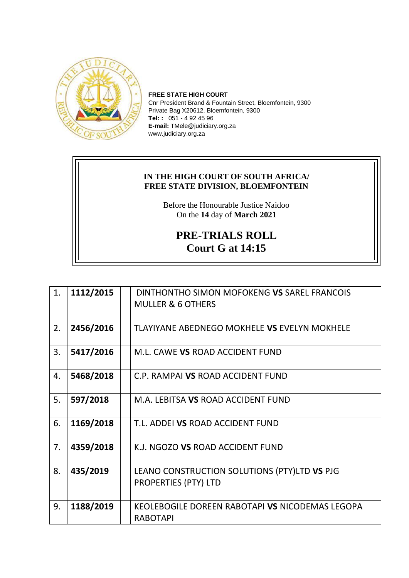

**FREE STATE HIGH COURT** Cnr President Brand & Fountain Street, Bloemfontein, 9300 Private Bag X20612, Bloemfontein, 9300 **Tel: :** 051 - 4 92 45 96 **E-mail:** TMele@judiciary.org.za www.judiciary.org.za

## **IN THE HIGH COURT OF SOUTH AFRICA/ FREE STATE DIVISION, BLOEMFONTEIN**

Before the Honourable Justice Naidoo On the **14** day of **March 2021**

## **PRE-TRIALS ROLL Court G at 14:15**

| 1. | 1112/2015 | DINTHONTHO SIMON MOFOKENG VS SAREL FRANCOIS         |
|----|-----------|-----------------------------------------------------|
|    |           | <b>MULLER &amp; 6 OTHERS</b>                        |
|    |           |                                                     |
| 2. | 2456/2016 | <b>TLAYIYANE ABEDNEGO MOKHELE VS EVELYN MOKHELE</b> |
| 3. | 5417/2016 | M.L. CAWE VS ROAD ACCIDENT FUND                     |
| 4. | 5468/2018 | C.P. RAMPAI VS ROAD ACCIDENT FUND                   |
| 5. | 597/2018  | M.A. LEBITSA VS ROAD ACCIDENT FUND                  |
| 6. | 1169/2018 | T.L. ADDEI VS ROAD ACCIDENT FUND                    |
| 7. | 4359/2018 | K.J. NGOZO VS ROAD ACCIDENT FUND                    |
| 8. | 435/2019  | LEANO CONSTRUCTION SOLUTIONS (PTY)LTD VS PJG        |
|    |           | <b>PROPERTIES (PTY) LTD</b>                         |
| 9. | 1188/2019 | KEOLEBOGILE DOREEN RABOTAPI VS NICODEMAS LEGOPA     |
|    |           | <b>RABOTAPI</b>                                     |
|    |           |                                                     |